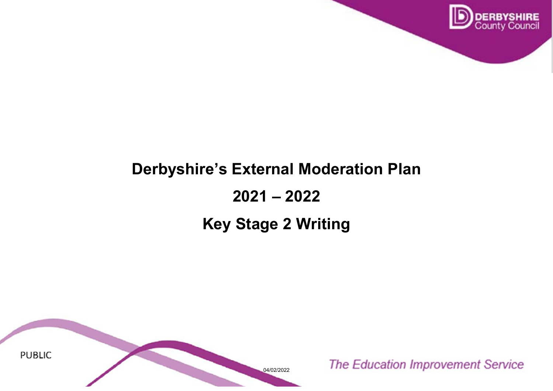

# **Derbyshire's External Moderation Plan 2021 – 2022**

## **Key Stage 2 Writing**

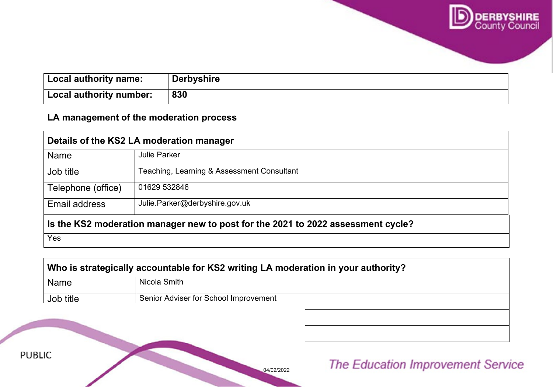

| Local authority name:   | <b>Derbyshire</b> |
|-------------------------|-------------------|
| Local authority number: | 830               |

#### **LA management of the moderation process**

Telephone (office) 01629 532736 532736

**PUBLIC** 

Email address [Nicola.Joanne.Smith@derbyshire.gov.uk](mailto:Nicola.Joanne.Smith@derbyshire.gov.uk)

| Details of the KS2 LA moderation manager                                         |                                            |  |
|----------------------------------------------------------------------------------|--------------------------------------------|--|
| <b>Name</b>                                                                      | <b>Julie Parker</b>                        |  |
| Job title                                                                        | Teaching, Learning & Assessment Consultant |  |
| Telephone (office)                                                               | 01629 532846                               |  |
| <b>Email address</b>                                                             | Julie.Parker@derbyshire.gov.uk             |  |
| Is the KS2 moderation manager new to post for the 2021 to 2022 assessment cycle? |                                            |  |
| Yes                                                                              |                                            |  |

| Who is strategically accountable for KS2 writing LA moderation in your authority? |                                       |
|-----------------------------------------------------------------------------------|---------------------------------------|
| <b>Name</b>                                                                       | Nicola Smith                          |
| Job title                                                                         | Senior Adviser for School Improvement |

04/02/2022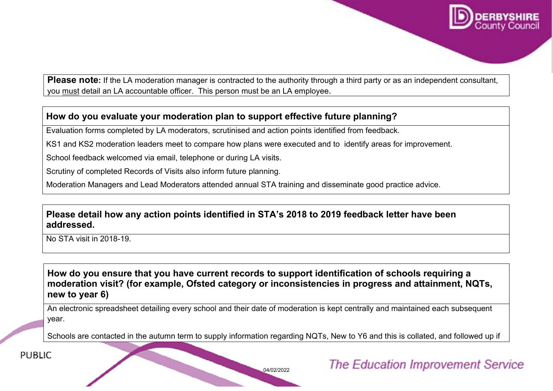

**Please note:** If the LA moderation manager is contracted to the authority through a third party or as an independent consultant, you must detail an LA accountable officer. This person must be an LA employee.

#### **How do you evaluate your moderation plan to support effective future planning?**

Evaluation forms completed by LA moderators, scrutinised and action points identified from feedback.

KS1 and KS2 moderation leaders meet to compare how plans were executed and to identify areas for improvement.

School feedback welcomed via email, telephone or during LA visits.

Scrutiny of completed Records of Visits also inform future planning.

Moderation Managers and Lead Moderators attended annual STA training and disseminate good practice advice.

#### **Please detail how any action points identified in STA's 2018 to 2019 feedback letter have been addressed.**

No STA visit in 2018-19.

**How do you ensure that you have current records to support identification of schools requiring a moderation visit? (for example, Ofsted category or inconsistencies in progress and attainment, NQTs, new to year 6)**

An electronic spreadsheet detailing every school and their date of moderation is kept centrally and maintained each subsequent year.

Schools are contacted in the autumn term to supply information regarding NQTs, New to Y6 and this is collated, and followed up if

**PUBLIC** 

04/02/2022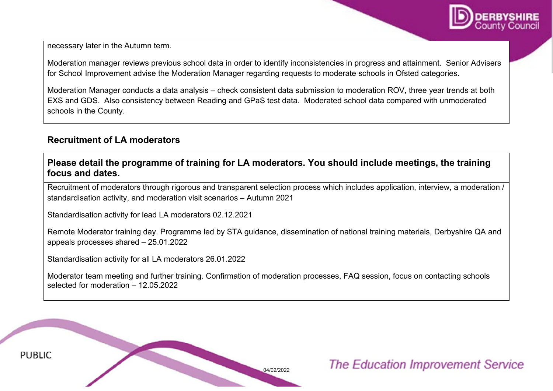

necessary later in the Autumn term.

Moderation manager reviews previous school data in order to identify inconsistencies in progress and attainment. Senior Advisers for School Improvement advise the Moderation Manager regarding requests to moderate schools in Ofsted categories.

Moderation Manager conducts a data analysis – check consistent data submission to moderation ROV, three year trends at both EXS and GDS. Also consistency between Reading and GPaS test data. Moderated school data compared with unmoderated schools in the County.

#### **Recruitment of LA moderators**

**Please detail the programme of training for LA moderators. You should include meetings, the training focus and dates.**

Recruitment of moderators through rigorous and transparent selection process which includes application, interview, a moderation / standardisation activity, and moderation visit scenarios – Autumn 2021

Standardisation activity for lead LA moderators 02.12.2021

Remote Moderator training day. Programme led by STA guidance, dissemination of national training materials, Derbyshire QA and appeals processes shared – 25.01.2022

Standardisation activity for all LA moderators 26.01.2022

Moderator team meeting and further training. Confirmation of moderation processes, FAQ session, focus on contacting schools selected for moderation – 12.05.2022

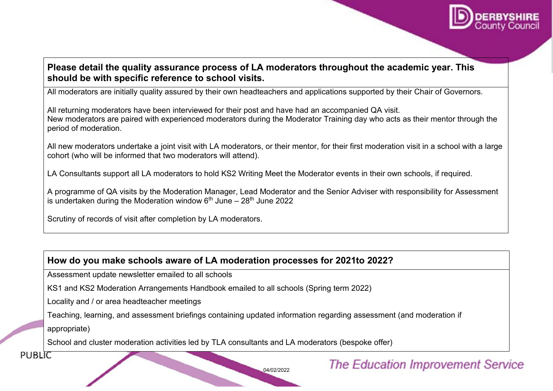

#### **Please detail the quality assurance process of LA moderators throughout the academic year. This should be with specific reference to school visits.**

All moderators are initially quality assured by their own headteachers and applications supported by their Chair of Governors.

All returning moderators have been interviewed for their post and have had an accompanied QA visit. New moderators are paired with experienced moderators during the Moderator Training day who acts as their mentor through the period of moderation.

All new moderators undertake a joint visit with LA moderators, or their mentor, for their first moderation visit in a school with a large cohort (who will be informed that two moderators will attend).

LA Consultants support all LA moderators to hold KS2 Writing Meet the Moderator events in their own schools, if required.

A programme of QA visits by the Moderation Manager, Lead Moderator and the Senior Adviser with responsibility for Assessment is undertaken during the Moderation window  $6<sup>th</sup>$  June – 28<sup>th</sup> June 2022

Scrutiny of records of visit after completion by LA moderators.

#### **How do you make schools aware of LA moderation processes for 2021to 2022?**

Assessment update newsletter emailed to all schools

KS1 and KS2 Moderation Arrangements Handbook emailed to all schools (Spring term 2022)

Locality and / or area headteacher meetings

Teaching, learning, and assessment briefings containing updated information regarding assessment (and moderation if

appropriate)

School and cluster moderation activities led by TLA consultants and LA moderators (bespoke offer)

**PUBLIC** 

04/02/2022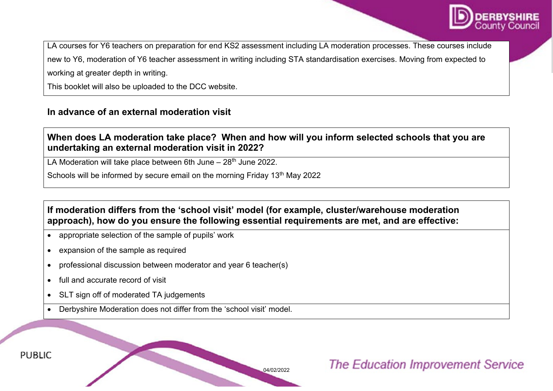

LA courses for Y6 teachers on preparation for end KS2 assessment including LA moderation processes. These courses include new to Y6, moderation of Y6 teacher assessment in writing including STA standardisation exercises. Moving from expected to working at greater depth in writing.

This booklet will also be uploaded to the DCC website.

#### **In advance of an external moderation visit**

#### **When does LA moderation take place? When and how will you inform selected schools that you are undertaking an external moderation visit in 2022?**

LA Moderation will take place between 6th June  $-28$ <sup>th</sup> June 2022.

Schools will be informed by secure email on the morning Friday 13<sup>th</sup> May 2022

#### **If moderation differs from the 'school visit' model (for example, cluster/warehouse moderation approach), how do you ensure the following essential requirements are met, and are effective:**

04/02/2022

- appropriate selection of the sample of pupils' work
- expansion of the sample as required
- professional discussion between moderator and year 6 teacher(s)
- full and accurate record of visit
- SLT sign off of moderated TA judgements
- Derbyshire Moderation does not differ from the 'school visit' model.

## **The Education Improvement Service**

**PUBLIC**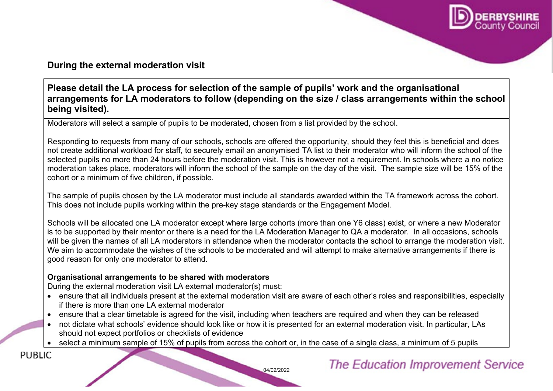

#### **During the external moderation visit**

#### **Please detail the LA process for selection of the sample of pupils' work and the organisational arrangements for LA moderators to follow (depending on the size / class arrangements within the school being visited).**

Moderators will select a sample of pupils to be moderated, chosen from a list provided by the school.

Responding to requests from many of our schools, schools are offered the opportunity, should they feel this is beneficial and does not create additional workload for staff, to securely email an anonymised TA list to their moderator who will inform the school of the selected pupils no more than 24 hours before the moderation visit. This is however not a requirement. In schools where a no notice moderation takes place, moderators will inform the school of the sample on the day of the visit. The sample size will be 15% of the cohort or a minimum of five children, if possible.

The sample of pupils chosen by the LA moderator must include all standards awarded within the TA framework across the cohort. This does not include pupils working within the pre-key stage standards or the Engagement Model.

Schools will be allocated one LA moderator except where large cohorts (more than one Y6 class) exist, or where a new Moderator is to be supported by their mentor or there is a need for the LA Moderation Manager to QA a moderator. In all occasions, schools will be given the names of all LA moderators in attendance when the moderator contacts the school to arrange the moderation visit. We aim to accommodate the wishes of the schools to be moderated and will attempt to make alternative arrangements if there is good reason for only one moderator to attend.

#### **Organisational arrangements to be shared with moderators**

During the external moderation visit LA external moderator(s) must:

• ensure that all individuals present at the external moderation visit are aware of each other's roles and responsibilities, especially if there is more than one LA external moderator

04/02/2022

- ensure that a clear timetable is agreed for the visit, including when teachers are required and when they can be released
- not dictate what schools' evidence should look like or how it is presented for an external moderation visit. In particular, LAs should not expect portfolios or checklists of evidence
- select a minimum sample of 15% of pupils from across the cohort or, in the case of a single class, a minimum of 5 pupils

**PUBLIC**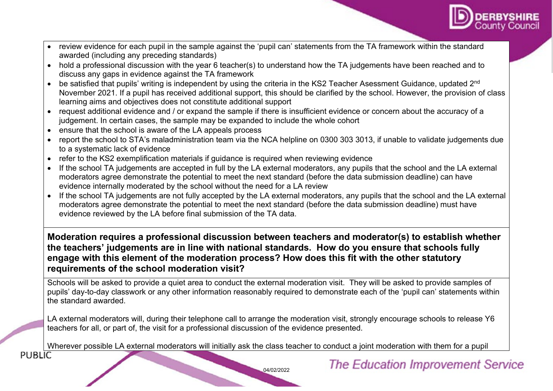

- review evidence for each pupil in the sample against the 'pupil can' statements from the TA framework within the standard awarded (including any preceding standards)
- hold a professional discussion with the year 6 teacher(s) to understand how the TA judgements have been reached and to discuss any gaps in evidence against the TA framework
- be satisfied that pupils' writing is independent by using the criteria in the KS2 Teacher Asessment Guidance, updated 2<sup>nd</sup> November 2021. If a pupil has received additional support, this should be clarified by the school. However, the provision of class learning aims and objectives does not constitute additional support
- request additional evidence and / or expand the sample if there is insufficient evidence or concern about the accuracy of a judgement. In certain cases, the sample may be expanded to include the whole cohort
- ensure that the school is aware of the LA appeals process
- report the school to STA's maladministration team via the NCA helpline on 0300 303 3013, if unable to validate judgements due to a systematic lack of evidence
- refer to the KS2 exemplification materials if quidance is required when reviewing evidence
- If the school TA judgements are accepted in full by the LA external moderators, any pupils that the school and the LA external moderators agree demonstrate the potential to meet the next standard (before the data submission deadline) can have evidence internally moderated by the school without the need for a LA review
- If the school TA judgements are not fully accepted by the LA external moderators, any pupils that the school and the LA external moderators agree demonstrate the potential to meet the next standard (before the data submission deadline) must have evidence reviewed by the LA before final submission of the TA data.

**Moderation requires a professional discussion between teachers and moderator(s) to establish whether the teachers' judgements are in line with national standards. How do you ensure that schools fully engage with this element of the moderation process? How does this fit with the other statutory requirements of the school moderation visit?**

Schools will be asked to provide a quiet area to conduct the external moderation visit. They will be asked to provide samples of pupils' day-to-day classwork or any other information reasonably required to demonstrate each of the 'pupil can' statements within the standard awarded.

LA external moderators will, during their telephone call to arrange the moderation visit, strongly encourage schools to release Y6 teachers for all, or part of, the visit for a professional discussion of the evidence presented.

Wherever possible LA external moderators will initially ask the class teacher to conduct a joint moderation with them for a pupil<br>PUBLIC

04/02/2022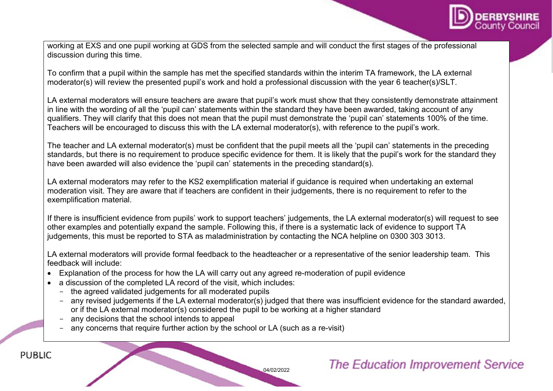

working at EXS and one pupil working at GDS from the selected sample and will conduct the first stages of the professional discussion during this time.

To confirm that a pupil within the sample has met the specified standards within the interim TA framework, the LA external moderator(s) will review the presented pupil's work and hold a professional discussion with the year 6 teacher(s)/SLT.

LA external moderators will ensure teachers are aware that pupil's work must show that they consistently demonstrate attainment in line with the wording of all the 'pupil can' statements within the standard they have been awarded, taking account of any qualifiers. They will clarify that this does not mean that the pupil must demonstrate the 'pupil can' statements 100% of the time. Teachers will be encouraged to discuss this with the LA external moderator(s), with reference to the pupil's work.

The teacher and LA external moderator(s) must be confident that the pupil meets all the 'pupil can' statements in the preceding standards, but there is no requirement to produce specific evidence for them. It is likely that the pupil's work for the standard they have been awarded will also evidence the 'pupil can' statements in the preceding standard(s).

LA external moderators may refer to the KS2 exemplification material if guidance is required when undertaking an external moderation visit. They are aware that if teachers are confident in their judgements, there is no requirement to refer to the exemplification material.

If there is insufficient evidence from pupils' work to support teachers' judgements, the LA external moderator(s) will request to see other examples and potentially expand the sample. Following this, if there is a systematic lack of evidence to support TA judgements, this must be reported to STA as maladministration by contacting the NCA helpline on 0300 303 3013.

LA external moderators will provide formal feedback to the headteacher or a representative of the senior leadership team. This feedback will include:

- Explanation of the process for how the LA will carry out any agreed re-moderation of pupil evidence
- a discussion of the completed LA record of the visit, which includes:
	- the agreed validated judgements for all moderated pupils
	- any revised judgements if the LA external moderator(s) judged that there was insufficient evidence for the standard awarded, or if the LA external moderator(s) considered the pupil to be working at a higher standard
	- any decisions that the school intends to appeal

**PUBLIC** 

any concerns that require further action by the school or LA (such as a re-visit)

## **The Education Improvement Service**

04/02/2022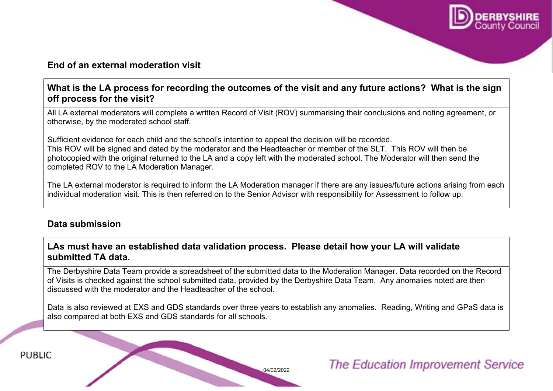

#### **End of an external moderation visit**

#### **What is the LA process for recording the outcomes of the visit and any future actions? What is the sign off process for the visit?**

All LA external moderators will complete a written Record of Visit (ROV) summarising their conclusions and noting agreement, or otherwise, by the moderated school staff.

Sufficient evidence for each child and the school's intention to appeal the decision will be recorded. This ROV will be signed and dated by the moderator and the Headteacher or member of the SLT. This ROV will then be photocopied with the original returned to the LA and a copy left with the moderated school. The Moderator will then send the completed ROV to the LA Moderation Manager.

The LA external moderator is required to inform the LA Moderation manager if there are any issues/future actions arising from each individual moderation visit. This is then referred on to the Senior Advisor with responsibility for Assessment to follow up.

#### **Data submission**

#### **LAs must have an established data validation process. Please detail how your LA will validate submitted TA data.**

The Derbyshire Data Team provide a spreadsheet of the submitted data to the Moderation Manager. Data recorded on the Record of Visits is checked against the school submitted data, provided by the Derbyshire Data Team. Any anomalies noted are then discussed with the moderator and the Headteacher of the school.

Data is also reviewed at EXS and GDS standards over three years to establish any anomalies. Reading, Writing and GPaS data is also compared at both EXS and GDS standards for all schools.

04/02/2022

## **The Education Improvement Service**

**PUBLIC**